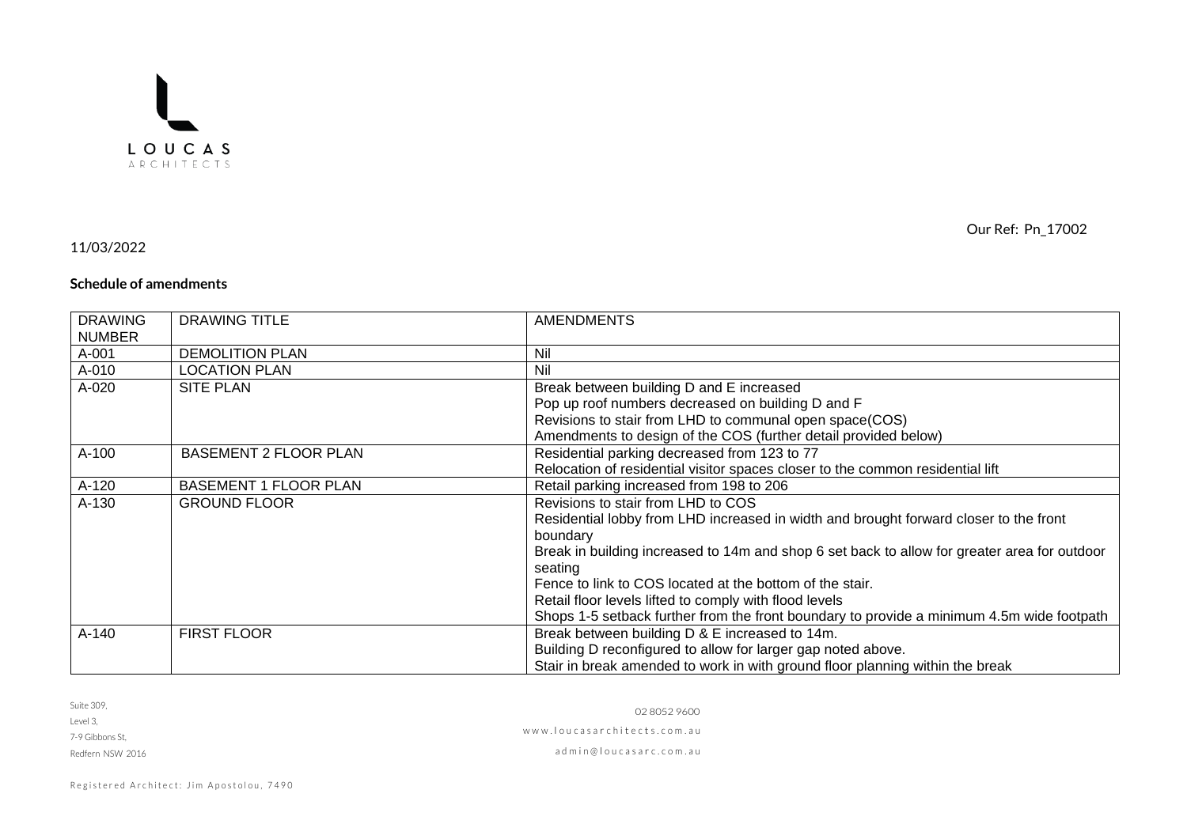

## 11/03/2022

## **Schedule of amendments**

| <b>DRAWING</b><br><b>NUMBER</b> | <b>DRAWING TITLE</b>         | <b>AMENDMENTS</b>                                                                                       |
|---------------------------------|------------------------------|---------------------------------------------------------------------------------------------------------|
| A-001                           | <b>DEMOLITION PLAN</b>       | Nil                                                                                                     |
| A-010                           | <b>LOCATION PLAN</b>         | Nil                                                                                                     |
| A-020                           | <b>SITE PLAN</b>             | Break between building D and E increased                                                                |
|                                 |                              | Pop up roof numbers decreased on building D and F                                                       |
|                                 |                              | Revisions to stair from LHD to communal open space(COS)                                                 |
|                                 |                              | Amendments to design of the COS (further detail provided below)                                         |
| A-100                           | <b>BASEMENT 2 FLOOR PLAN</b> | Residential parking decreased from 123 to 77                                                            |
|                                 |                              | Relocation of residential visitor spaces closer to the common residential lift                          |
| A-120                           | <b>BASEMENT 1 FLOOR PLAN</b> | Retail parking increased from 198 to 206                                                                |
| A-130                           | <b>GROUND FLOOR</b>          | Revisions to stair from LHD to COS                                                                      |
|                                 |                              | Residential lobby from LHD increased in width and brought forward closer to the front                   |
|                                 |                              | boundary                                                                                                |
|                                 |                              | Break in building increased to 14m and shop 6 set back to allow for greater area for outdoor<br>seating |
|                                 |                              | Fence to link to COS located at the bottom of the stair.                                                |
|                                 |                              | Retail floor levels lifted to comply with flood levels                                                  |
|                                 |                              | Shops 1-5 setback further from the front boundary to provide a minimum 4.5m wide footpath               |
| A-140                           | <b>FIRST FLOOR</b>           | Break between building D & E increased to 14m.                                                          |
|                                 |                              | Building D reconfigured to allow for larger gap noted above.                                            |
|                                 |                              | Stair in break amended to work in with ground floor planning within the break                           |

| Suite 309. |  |
|------------|--|
| $-10$      |  |

Level 3,

7-9 Gibbons St,

Redfern NSW 2016

02 8052 9600 www.loucasarchitects.com.au ad m i n @ l o u c a s a r c . c o m . a u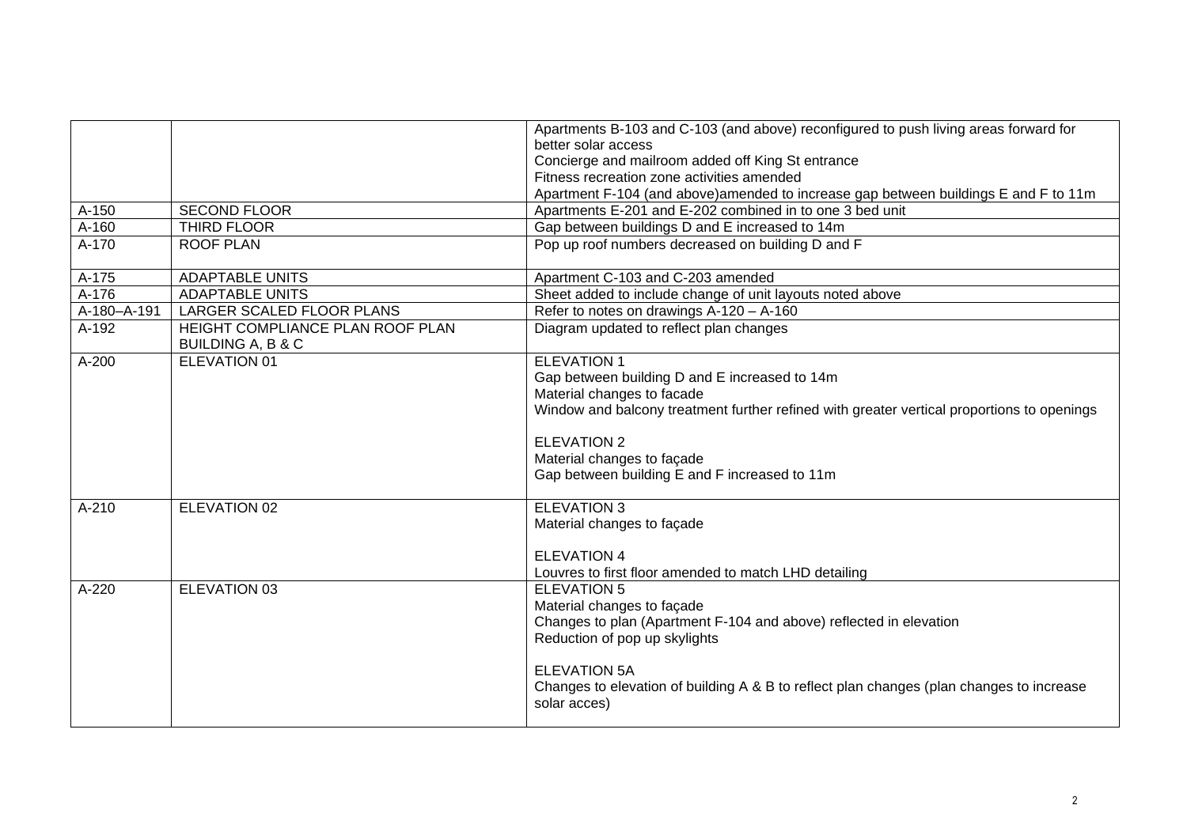|             |                                                                  | Apartments B-103 and C-103 (and above) reconfigured to push living areas forward for                     |
|-------------|------------------------------------------------------------------|----------------------------------------------------------------------------------------------------------|
|             |                                                                  | better solar access                                                                                      |
|             |                                                                  | Concierge and mailroom added off King St entrance                                                        |
|             |                                                                  | Fitness recreation zone activities amended                                                               |
|             |                                                                  | Apartment F-104 (and above)amended to increase gap between buildings E and F to 11m                      |
| A-150       | <b>SECOND FLOOR</b>                                              | Apartments E-201 and E-202 combined in to one 3 bed unit                                                 |
| A-160       | THIRD FLOOR                                                      | Gap between buildings D and E increased to 14m                                                           |
| A-170       | <b>ROOF PLAN</b>                                                 | Pop up roof numbers decreased on building D and F                                                        |
| A-175       | <b>ADAPTABLE UNITS</b>                                           | Apartment C-103 and C-203 amended                                                                        |
| A-176       | <b>ADAPTABLE UNITS</b>                                           | Sheet added to include change of unit layouts noted above                                                |
| A-180-A-191 | LARGER SCALED FLOOR PLANS                                        | Refer to notes on drawings A-120 - A-160                                                                 |
| A-192       | HEIGHT COMPLIANCE PLAN ROOF PLAN<br><b>BUILDING A, B &amp; C</b> | Diagram updated to reflect plan changes                                                                  |
| $A-200$     | <b>ELEVATION 01</b>                                              | <b>ELEVATION 1</b>                                                                                       |
|             |                                                                  | Gap between building D and E increased to 14m                                                            |
|             |                                                                  | Material changes to facade                                                                               |
|             |                                                                  | Window and balcony treatment further refined with greater vertical proportions to openings               |
|             |                                                                  | <b>ELEVATION 2</b>                                                                                       |
|             |                                                                  | Material changes to façade                                                                               |
|             |                                                                  | Gap between building E and F increased to 11m                                                            |
|             |                                                                  |                                                                                                          |
| A-210       | ELEVATION 02                                                     | <b>ELEVATION 3</b>                                                                                       |
|             |                                                                  | Material changes to façade                                                                               |
|             |                                                                  |                                                                                                          |
|             |                                                                  | <b>ELEVATION 4</b>                                                                                       |
|             |                                                                  | Louvres to first floor amended to match LHD detailing                                                    |
| A-220       | ELEVATION 03                                                     | <b>ELEVATION 5</b>                                                                                       |
|             |                                                                  | Material changes to façade                                                                               |
|             |                                                                  | Changes to plan (Apartment F-104 and above) reflected in elevation                                       |
|             |                                                                  | Reduction of pop up skylights                                                                            |
|             |                                                                  |                                                                                                          |
|             |                                                                  | <b>ELEVATION 5A</b>                                                                                      |
|             |                                                                  | Changes to elevation of building A & B to reflect plan changes (plan changes to increase<br>solar acces) |
|             |                                                                  |                                                                                                          |
|             |                                                                  |                                                                                                          |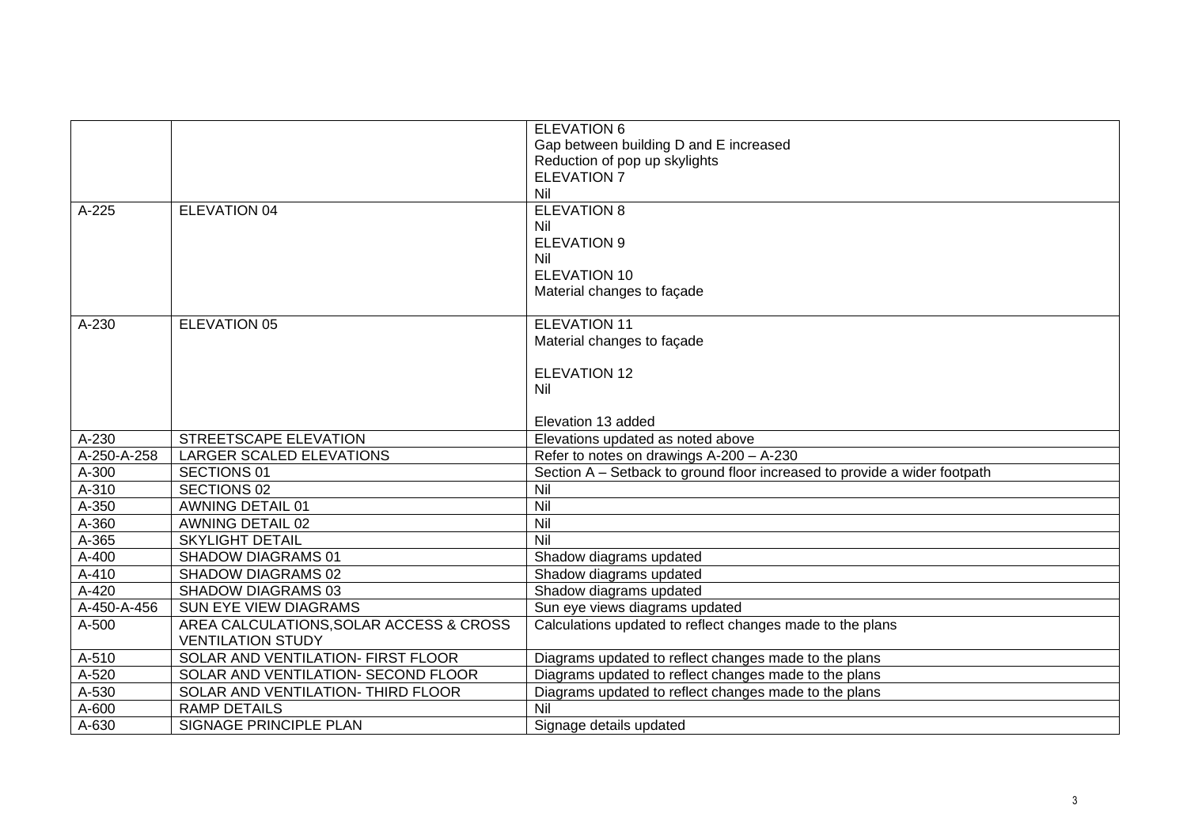|             |                                         | <b>ELEVATION 6</b>                                                        |
|-------------|-----------------------------------------|---------------------------------------------------------------------------|
|             |                                         | Gap between building D and E increased                                    |
|             |                                         | Reduction of pop up skylights                                             |
|             |                                         | <b>ELEVATION 7</b><br>Nil                                                 |
|             |                                         |                                                                           |
| A-225       | ELEVATION 04                            | <b>ELEVATION 8</b>                                                        |
|             |                                         | Nil<br><b>ELEVATION 9</b>                                                 |
|             |                                         | Nil                                                                       |
|             |                                         | <b>ELEVATION 10</b>                                                       |
|             |                                         | Material changes to façade                                                |
|             |                                         |                                                                           |
| A-230       | <b>ELEVATION 05</b>                     | <b>ELEVATION 11</b>                                                       |
|             |                                         | Material changes to façade                                                |
|             |                                         |                                                                           |
|             |                                         | <b>ELEVATION 12</b>                                                       |
|             |                                         | Nil                                                                       |
|             |                                         |                                                                           |
|             |                                         | Elevation 13 added                                                        |
| A-230       | STREETSCAPE ELEVATION                   | Elevations updated as noted above                                         |
| A-250-A-258 | LARGER SCALED ELEVATIONS                | Refer to notes on drawings A-200 - A-230                                  |
| A-300       | SECTIONS 01                             | Section A – Setback to ground floor increased to provide a wider footpath |
| A-310       | SECTIONS 02                             | Nil                                                                       |
| A-350       | <b>AWNING DETAIL 01</b>                 | Nil                                                                       |
| A-360       | <b>AWNING DETAIL 02</b>                 | Nil                                                                       |
| A-365       | <b>SKYLIGHT DETAIL</b>                  | Nil                                                                       |
| A-400       | <b>SHADOW DIAGRAMS 01</b>               | Shadow diagrams updated                                                   |
| $A-410$     | SHADOW DIAGRAMS 02                      | Shadow diagrams updated                                                   |
| $A-420$     | SHADOW DIAGRAMS 03                      | Shadow diagrams updated                                                   |
| A-450-A-456 | SUN EYE VIEW DIAGRAMS                   | Sun eye views diagrams updated                                            |
| A-500       | AREA CALCULATIONS, SOLAR ACCESS & CROSS | Calculations updated to reflect changes made to the plans                 |
|             | <b>VENTILATION STUDY</b>                |                                                                           |
| A-510       | SOLAR AND VENTILATION- FIRST FLOOR      | Diagrams updated to reflect changes made to the plans                     |
| A-520       | SOLAR AND VENTILATION- SECOND FLOOR     | Diagrams updated to reflect changes made to the plans                     |
| A-530       | SOLAR AND VENTILATION- THIRD FLOOR      | Diagrams updated to reflect changes made to the plans                     |
| A-600       | <b>RAMP DETAILS</b>                     | Nil                                                                       |
| A-630       | SIGNAGE PRINCIPLE PLAN                  | Signage details updated                                                   |